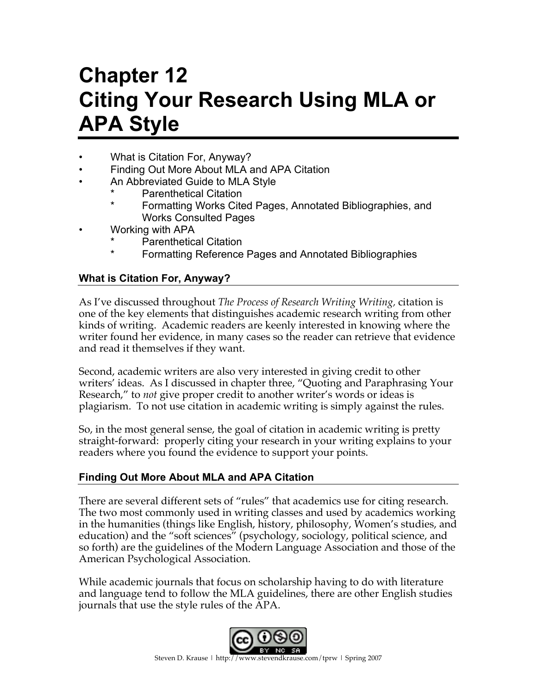# **Chapter 12 Citing Your Research Using MLA or APA Style**

- What is Citation For, Anyway?
- Finding Out More About MLA and APA Citation
- An Abbreviated Guide to MLA Style
	- Parenthetical Citation
	- Formatting Works Cited Pages, Annotated Bibliographies, and Works Consulted Pages
- Working with APA
	- **Parenthetical Citation**
	- Formatting Reference Pages and Annotated Bibliographies

# **What is Citation For, Anyway?**

As I've discussed throughout *The Process of Research Writing Writing,* citation is one of the key elements that distinguishes academic research writing from other kinds of writing. Academic readers are keenly interested in knowing where the writer found her evidence, in many cases so the reader can retrieve that evidence and read it themselves if they want.

Second, academic writers are also very interested in giving credit to other writers' ideas. As I discussed in chapter three, "Quoting and Paraphrasing Your Research," to *not* give proper credit to another writer's words or ideas is plagiarism. To not use citation in academic writing is simply against the rules.

So, in the most general sense, the goal of citation in academic writing is pretty straight-forward: properly citing your research in your writing explains to your readers where you found the evidence to support your points.

# **Finding Out More About MLA and APA Citation**

There are several different sets of "rules" that academics use for citing research. The two most commonly used in writing classes and used by academics working in the humanities (things like English, history, philosophy, Women's studies, and education) and the "soft sciences" (psychology, sociology, political science, and so forth) are the guidelines of the Modern Language Association and those of the American Psychological Association.

While academic journals that focus on scholarship having to do with literature and language tend to follow the MLA guidelines, there are other English studies journals that use the style rules of the APA.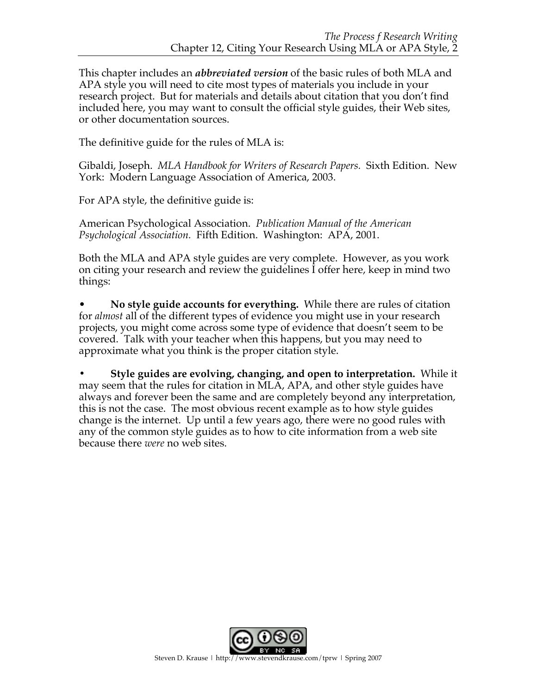This chapter includes an *abbreviated version* of the basic rules of both MLA and APA style you will need to cite most types of materials you include in your research project. But for materials and details about citation that you don't find included here, you may want to consult the official style guides, their Web sites, or other documentation sources.

The definitive guide for the rules of MLA is:

Gibaldi, Joseph. *MLA Handbook for Writers of Research Papers.* Sixth Edition. New York: Modern Language Association of America, 2003.

For APA style, the definitive guide is:

American Psychological Association. *Publication Manual of the American Psychological Association.* Fifth Edition. Washington: APA, 2001.

Both the MLA and APA style guides are very complete. However, as you work on citing your research and review the guidelines I offer here, keep in mind two things:

• **No style guide accounts for everything.** While there are rules of citation for *almost* all of the different types of evidence you might use in your research projects, you might come across some type of evidence that doesn't seem to be covered. Talk with your teacher when this happens, but you may need to approximate what you think is the proper citation style.

**• Style guides are evolving, changing, and open to interpretation.** While it may seem that the rules for citation in MLA, APA, and other style guides have always and forever been the same and are completely beyond any interpretation, this is not the case. The most obvious recent example as to how style guides change is the internet. Up until a few years ago, there were no good rules with any of the common style guides as to how to cite information from a web site because there *were* no web sites.

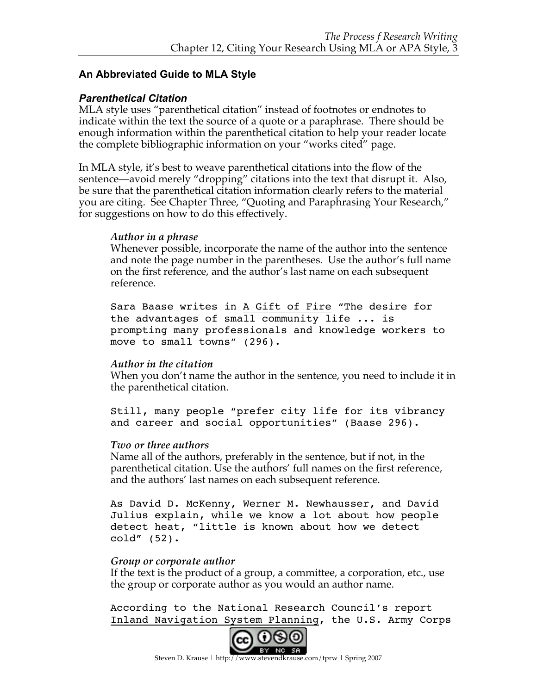# **An Abbreviated Guide to MLA Style**

# *Parenthetical Citation*

MLA style uses "parenthetical citation" instead of footnotes or endnotes to indicate within the text the source of a quote or a paraphrase. There should be enough information within the parenthetical citation to help your reader locate the complete bibliographic information on your "works cited" page.

In MLA style, it's best to weave parenthetical citations into the flow of the sentence—avoid merely "dropping" citations into the text that disrupt it. Also, be sure that the parenthetical citation information clearly refers to the material you are citing. See Chapter Three, "Quoting and Paraphrasing Your Research," for suggestions on how to do this effectively.

# *Author in a phrase*

Whenever possible, incorporate the name of the author into the sentence and note the page number in the parentheses. Use the author's full name on the first reference, and the author's last name on each subsequent reference.

Sara Baase writes in A Gift of Fire "The desire for the advantages of small community life ... is prompting many professionals and knowledge workers to move to small towns" (296).

# *Author in the citation*

When you don't name the author in the sentence, you need to include it in the parenthetical citation.

Still, many people "prefer city life for its vibrancy and career and social opportunities" (Baase 296).

#### *Two or three authors*

Name all of the authors, preferably in the sentence, but if not, in the parenthetical citation. Use the authors' full names on the first reference, and the authors' last names on each subsequent reference.

As David D. McKenny, Werner M. Newhausser, and David Julius explain, while we know a lot about how people detect heat, "little is known about how we detect cold" (52).

#### *Group or corporate author*

If the text is the product of a group, a committee, a corporation, etc., use the group or corporate author as you would an author name.

According to the National Research Council's report Inland Navigation System Planning, the U.S. Army Corps

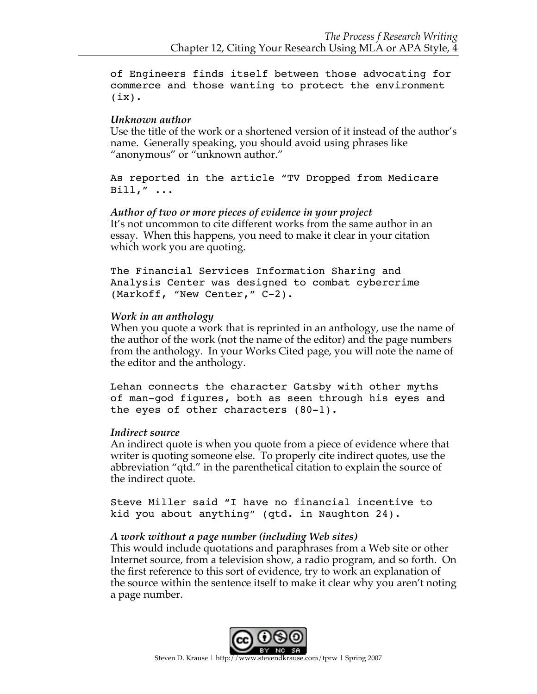of Engineers finds itself between those advocating for commerce and those wanting to protect the environment  $(ix)$ .

# *Unknown author*

Use the title of the work or a shortened version of it instead of the author's name. Generally speaking, you should avoid using phrases like "anonymous" or "unknown author."

As reported in the article "TV Dropped from Medicare Bill," ...

*Author of two or more pieces of evidence in your project* It's not uncommon to cite different works from the same author in an essay. When this happens, you need to make it clear in your citation which work you are quoting.

The Financial Services Information Sharing and Analysis Center was designed to combat cybercrime (Markoff, "New Center," C-2).

#### *Work in an anthology*

When you quote a work that is reprinted in an anthology, use the name of the author of the work (not the name of the editor) and the page numbers from the anthology. In your Works Cited page, you will note the name of the editor and the anthology.

Lehan connects the character Gatsby with other myths of man-god figures, both as seen through his eyes and the eyes of other characters (80-1).

# *Indirect source*

An indirect quote is when you quote from a piece of evidence where that writer is quoting someone else. To properly cite indirect quotes, use the abbreviation "qtd." in the parenthetical citation to explain the source of the indirect quote.

Steve Miller said "I have no financial incentive to kid you about anything" (qtd. in Naughton 24).

# *A work without a page number (including Web sites)*

This would include quotations and paraphrases from a Web site or other Internet source, from a television show, a radio program, and so forth. On the first reference to this sort of evidence, try to work an explanation of the source within the sentence itself to make it clear why you aren't noting a page number.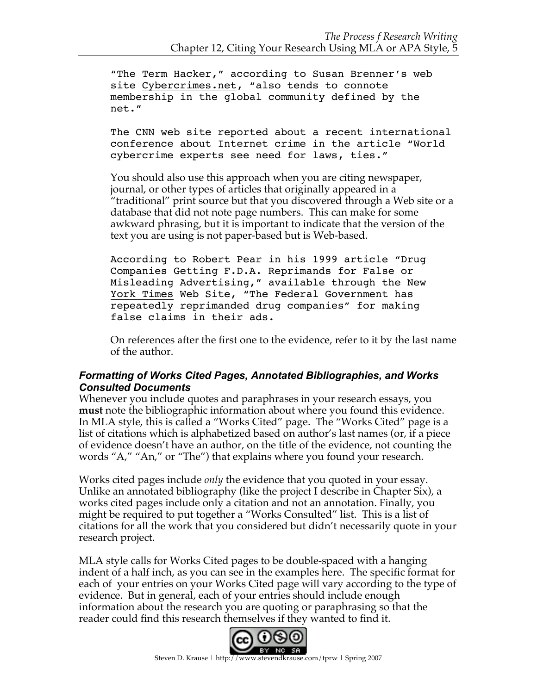"The Term Hacker," according to Susan Brenner's web site Cybercrimes.net, "also tends to connote membership in the global community defined by the net."

The CNN web site reported about a recent international conference about Internet crime in the article "World cybercrime experts see need for laws, ties."

You should also use this approach when you are citing newspaper, journal, or other types of articles that originally appeared in a "traditional" print source but that you discovered through a Web site or a database that did not note page numbers. This can make for some awkward phrasing, but it is important to indicate that the version of the text you are using is not paper-based but is Web-based.

According to Robert Pear in his 1999 article "Drug Companies Getting F.D.A. Reprimands for False or Misleading Advertising," available through the New York Times Web Site, "The Federal Government has repeatedly reprimanded drug companies" for making false claims in their ads.

On references after the first one to the evidence, refer to it by the last name of the author.

# *Formatting of Works Cited Pages, Annotated Bibliographies, and Works Consulted Documents*

Whenever you include quotes and paraphrases in your research essays, you **must** note the bibliographic information about where you found this evidence. In MLA style, this is called a "Works Cited" page. The "Works Cited" page is a list of citations which is alphabetized based on author's last names (or, if a piece of evidence doesn't have an author, on the title of the evidence, not counting the words "A," "An," or "The") that explains where you found your research.

Works cited pages include *only* the evidence that you quoted in your essay. Unlike an annotated bibliography (like the project I describe in Chapter Six), a works cited pages include only a citation and not an annotation. Finally, you might be required to put together a "Works Consulted" list. This is a list of citations for all the work that you considered but didn't necessarily quote in your research project.

MLA style calls for Works Cited pages to be double-spaced with a hanging indent of a half inch, as you can see in the examples here. The specific format for each of your entries on your Works Cited page will vary according to the type of evidence. But in general, each of your entries should include enough information about the research you are quoting or paraphrasing so that the reader could find this research themselves if they wanted to find it.

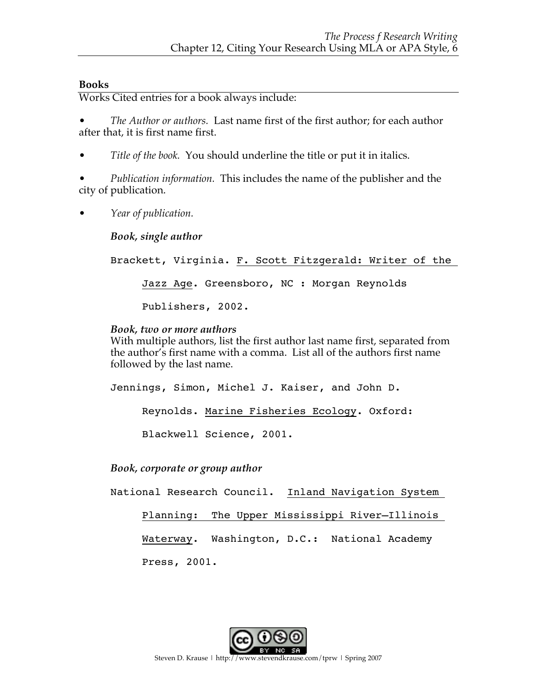# **Books**

Works Cited entries for a book always include:

• *The Author or authors.* Last name first of the first author; for each author after that, it is first name first.

• *Title of the book.* You should underline the title or put it in italics.

• *Publication information.* This includes the name of the publisher and the city of publication.

• *Year of publication.*

*Book, single author*

Brackett, Virginia. F. Scott Fitzgerald: Writer of the Jazz Age. Greensboro, NC : Morgan Reynolds

Publishers, 2002.

# *Book, two or more authors*

With multiple authors, list the first author last name first, separated from the author's first name with a comma. List all of the authors first name followed by the last name.

Jennings, Simon, Michel J. Kaiser, and John D. Reynolds. Marine Fisheries Ecology. Oxford: Blackwell Science, 2001.

*Book, corporate or group author*

National Research Council. Inland Navigation System Planning: The Upper Mississippi River—Illinois Waterway. Washington, D.C.: National Academy Press, 2001.

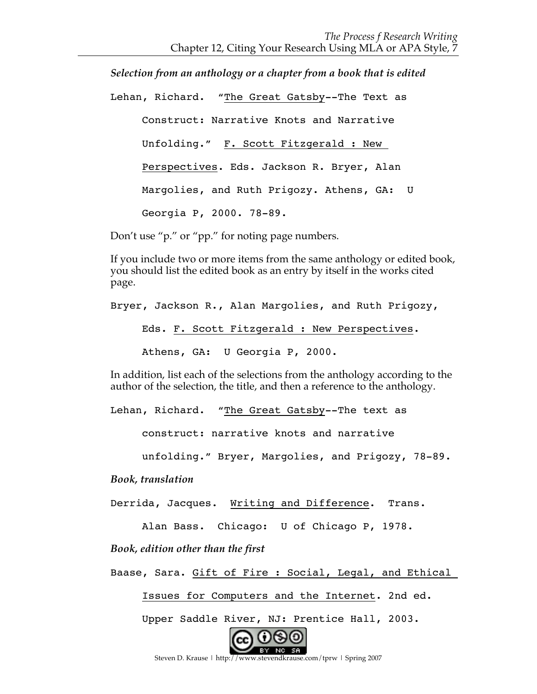*Selection from an anthology or a chapter from a book that is edited*

Lehan, Richard. "The Great Gatsby--The Text as

Construct: Narrative Knots and Narrative Unfolding." F. Scott Fitzgerald : New Perspectives. Eds. Jackson R. Bryer, Alan Margolies, and Ruth Prigozy. Athens, GA: U Georgia P, 2000. 78-89.

Don't use "p." or "pp." for noting page numbers.

If you include two or more items from the same anthology or edited book, you should list the edited book as an entry by itself in the works cited page.

Bryer, Jackson R., Alan Margolies, and Ruth Prigozy,

Eds. F. Scott Fitzgerald : New Perspectives.

Athens, GA: U Georgia P, 2000.

In addition, list each of the selections from the anthology according to the author of the selection, the title, and then a reference to the anthology.

Lehan, Richard. "The Great Gatsby--The text as

construct: narrative knots and narrative

unfolding." Bryer, Margolies, and Prigozy, 78-89.

*Book, translation*

Derrida, Jacques. Writing and Difference. Trans.

Alan Bass. Chicago: U of Chicago P, 1978.

*Book, edition other than the first*

Baase, Sara. Gift of Fire : Social, Legal, and Ethical

Issues for Computers and the Internet. 2nd ed.

Upper Saddle River, NJ: Prentice Hall, 2003.



Steven D. Krause | http://www.stevendkrause.com/tprw | Spring 2007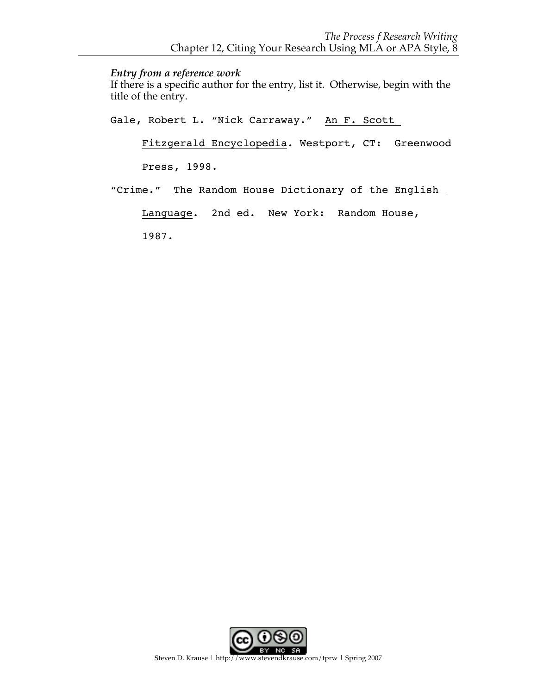#### *Entry from a reference work*

If there is a specific author for the entry, list it. Otherwise, begin with the title of the entry.

Gale, Robert L. "Nick Carraway." An F. Scott

Fitzgerald Encyclopedia. Westport, CT: Greenwood

Press, 1998.

"Crime." The Random House Dictionary of the English

Language. 2nd ed. New York: Random House,

1987.

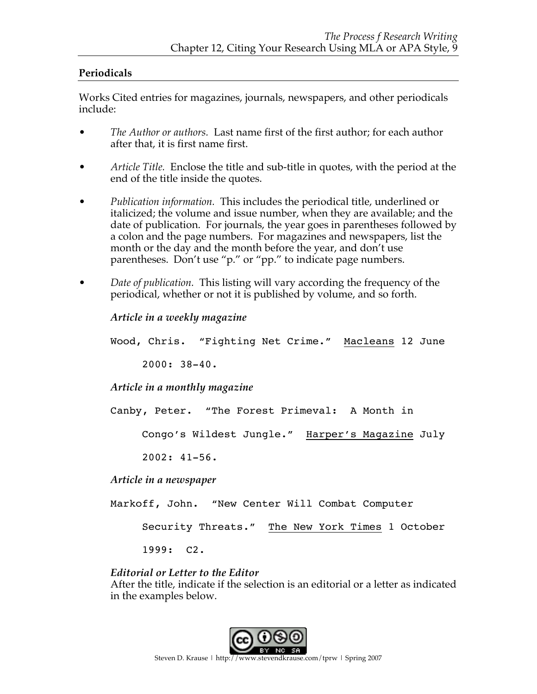# **Periodicals**

Works Cited entries for magazines, journals, newspapers, and other periodicals include:

- *The Author or authors.* Last name first of the first author; for each author after that, it is first name first.
- *Article Title.* Enclose the title and sub-title in quotes, with the period at the end of the title inside the quotes.
- *Publication information.* This includes the periodical title, underlined or italicized; the volume and issue number, when they are available; and the date of publication. For journals, the year goes in parentheses followed by a colon and the page numbers. For magazines and newspapers, list the month or the day and the month before the year, and don't use parentheses. Don't use "p." or "pp." to indicate page numbers.
- *Date of publication.* This listing will vary according the frequency of the periodical, whether or not it is published by volume, and so forth.

```
Article in a weekly magazine
Wood, Chris. "Fighting Net Crime." Macleans 12 June 
     2000: 38-40.
Article in a monthly magazine
Canby, Peter. "The Forest Primeval: A Month in 
     Congo's Wildest Jungle." Harper's Magazine July 
     2002: 41-56.
Article in a newspaper
Markoff, John. "New Center Will Combat Computer
```
Security Threats." The New York Times 1 October

1999: C2.

*Editorial or Letter to the Editor*

After the title, indicate if the selection is an editorial or a letter as indicated in the examples below.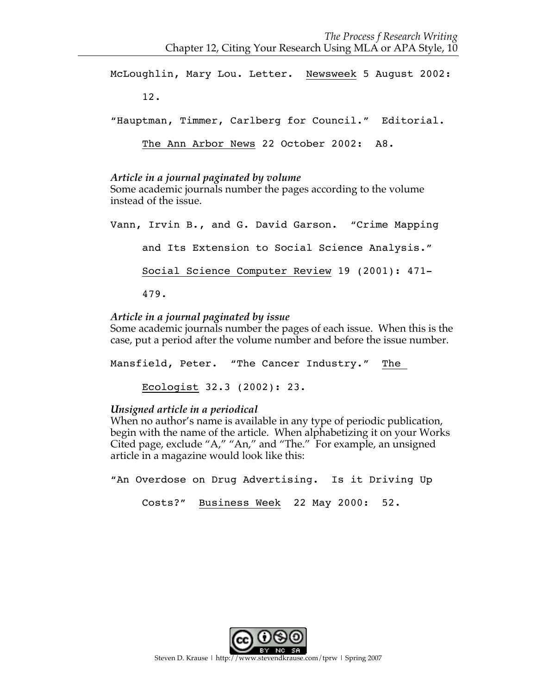McLoughlin, Mary Lou. Letter. Newsweek 5 August 2002: 12. "Hauptman, Timmer, Carlberg for Council." Editorial. The Ann Arbor News 22 October 2002: A8.

#### *Article in a journal paginated by volume*

Some academic journals number the pages according to the volume instead of the issue.

Vann, Irvin B., and G. David Garson. "Crime Mapping and Its Extension to Social Science Analysis." Social Science Computer Review 19 (2001): 471- 479.

# *Article in a journal paginated by issue*

Some academic journals number the pages of each issue. When this is the case, put a period after the volume number and before the issue number.

Mansfield, Peter. "The Cancer Industry." The

Ecologist 32.3 (2002): 23.

#### *Unsigned article in a periodical*

When no author's name is available in any type of periodic publication, begin with the name of the article. When alphabetizing it on your Works Cited page, exclude "A," "An," and "The." For example, an unsigned article in a magazine would look like this:

"An Overdose on Drug Advertising. Is it Driving Up

Costs?" Business Week 22 May 2000: 52.

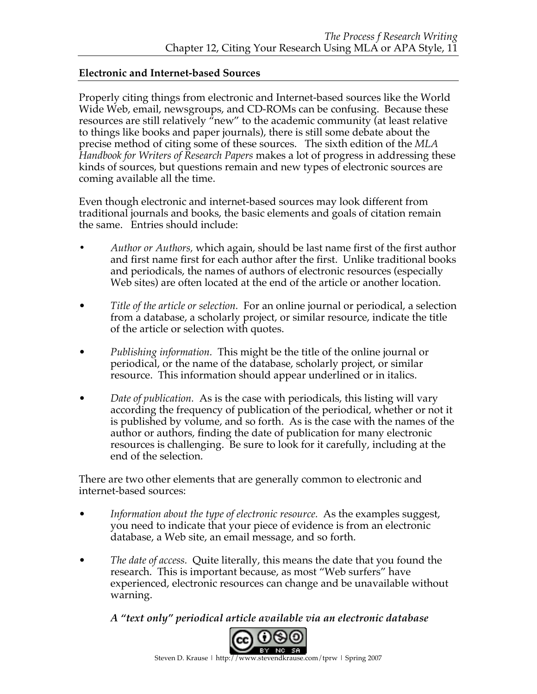# **Electronic and Internet-based Sources**

Properly citing things from electronic and Internet-based sources like the World Wide Web, email, newsgroups, and CD-ROMs can be confusing. Because these resources are still relatively "new" to the academic community (at least relative to things like books and paper journals), there is still some debate about the precise method of citing some of these sources. The sixth edition of the *MLA Handbook for Writers of Research Papers* makes a lot of progress in addressing these kinds of sources, but questions remain and new types of electronic sources are coming available all the time.

Even though electronic and internet-based sources may look different from traditional journals and books, the basic elements and goals of citation remain the same. Entries should include:

- **•** *Author or Authors,* which again, should be last name first of the first author and first name first for each author after the first. Unlike traditional books and periodicals, the names of authors of electronic resources (especially Web sites) are often located at the end of the article or another location.
- *Title of the article or selection.* For an online journal or periodical, a selection from a database, a scholarly project, or similar resource, indicate the title of the article or selection with quotes.
- *Publishing information.* This might be the title of the online journal or periodical, or the name of the database, scholarly project, or similar resource. This information should appear underlined or in italics.
- *Date of publication.* As is the case with periodicals, this listing will vary according the frequency of publication of the periodical, whether or not it is published by volume, and so forth. As is the case with the names of the author or authors, finding the date of publication for many electronic resources is challenging. Be sure to look for it carefully, including at the end of the selection.

There are two other elements that are generally common to electronic and internet-based sources:

- *Information about the type of electronic resource.* As the examples suggest, you need to indicate that your piece of evidence is from an electronic database, a Web site, an email message, and so forth.
- *The date of access.* Quite literally, this means the date that you found the research. This is important because, as most "Web surfers" have experienced, electronic resources can change and be unavailable without warning.

*A "text only" periodical article available via an electronic database*

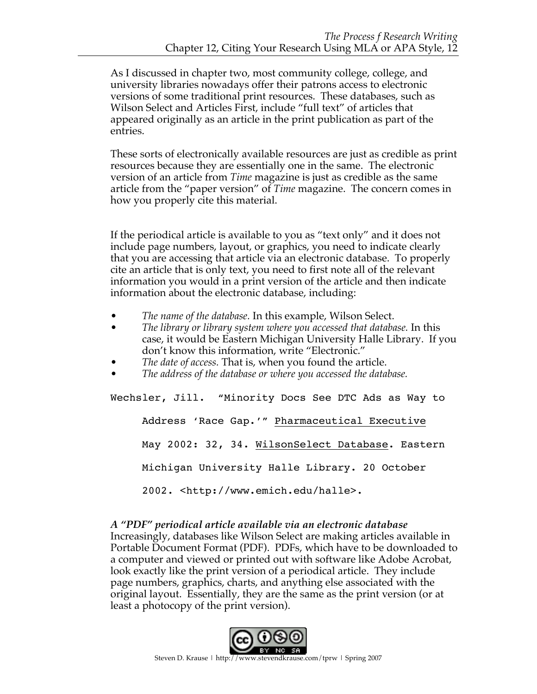As I discussed in chapter two, most community college, college, and university libraries nowadays offer their patrons access to electronic versions of some traditional print resources. These databases, such as Wilson Select and Articles First, include "full text" of articles that appeared originally as an article in the print publication as part of the entries.

These sorts of electronically available resources are just as credible as print resources because they are essentially one in the same. The electronic version of an article from *Time* magazine is just as credible as the same article from the "paper version" of *Time* magazine. The concern comes in how you properly cite this material.

If the periodical article is available to you as "text only" and it does not include page numbers, layout, or graphics, you need to indicate clearly that you are accessing that article via an electronic database. To properly cite an article that is only text, you need to first note all of the relevant information you would in a print version of the article and then indicate information about the electronic database, including:

- *The name of the database.* In this example, Wilson Select.
- *The library or library system where you accessed that database.* In this case, it would be Eastern Michigan University Halle Library. If you don't know this information, write "Electronic."
- *The date of access.* That is, when you found the article.
- *The address of the database or where you accessed the database.*

Wechsler, Jill. "Minority Docs See DTC Ads as Way to Address 'Race Gap.'" Pharmaceutical Executive May 2002: 32, 34. WilsonSelect Database. Eastern Michigan University Halle Library. 20 October 2002. <http://www.emich.edu/halle>.

#### *A "PDF" periodical article available via an electronic database* Increasingly, databases like Wilson Select are making articles available in Portable Document Format (PDF). PDFs, which have to be downloaded to a computer and viewed or printed out with software like Adobe Acrobat, look exactly like the print version of a periodical article. They include page numbers, graphics, charts, and anything else associated with the original layout. Essentially, they are the same as the print version (or at least a photocopy of the print version).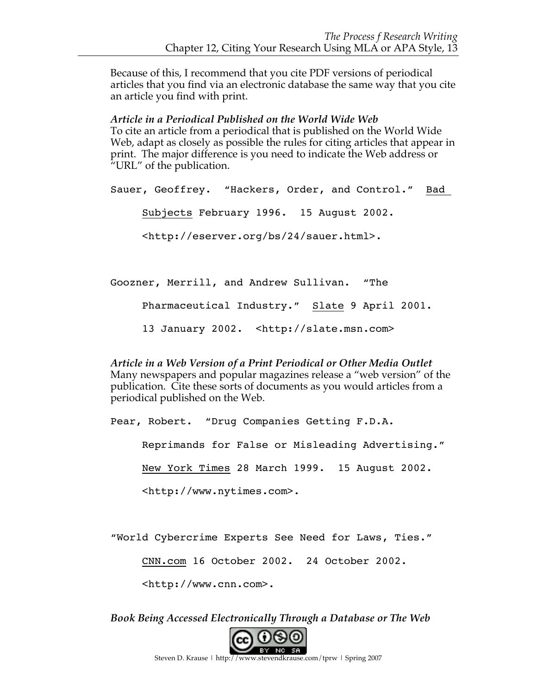Because of this, I recommend that you cite PDF versions of periodical articles that you find via an electronic database the same way that you cite an article you find with print.

*Article in a Periodical Published on the World Wide Web* To cite an article from a periodical that is published on the World Wide Web, adapt as closely as possible the rules for citing articles that appear in print. The major difference is you need to indicate the Web address or "URL" of the publication.

Sauer, Geoffrey. "Hackers, Order, and Control." Bad Subjects February 1996. 15 August 2002. <http://eserver.org/bs/24/sauer.html>.

Goozner, Merrill, and Andrew Sullivan. "The Pharmaceutical Industry." Slate 9 April 2001. 13 January 2002. <http://slate.msn.com>

*Article in a Web Version of a Print Periodical or Other Media Outlet* Many newspapers and popular magazines release a "web version" of the publication. Cite these sorts of documents as you would articles from a periodical published on the Web.

Pear, Robert. "Drug Companies Getting F.D.A.

Reprimands for False or Misleading Advertising."

New York Times 28 March 1999. 15 August 2002.

<http://www.nytimes.com>.

"World Cybercrime Experts See Need for Laws, Ties."

CNN.com 16 October 2002. 24 October 2002.

<http://www.cnn.com>.

*Book Being Accessed Electronically Through a Database or The Web*

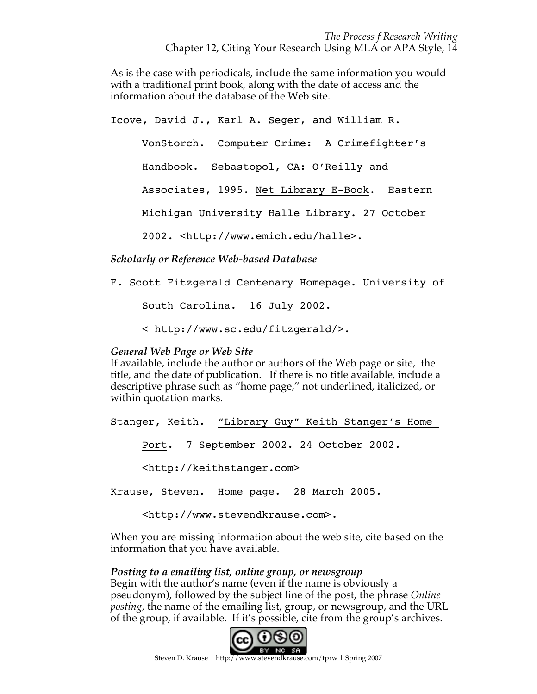As is the case with periodicals, include the same information you would with a traditional print book, along with the date of access and the information about the database of the Web site.

Icove, David J., Karl A. Seger, and William R. VonStorch. Computer Crime: A Crimefighter's Handbook. Sebastopol, CA: O'Reilly and Associates, 1995. Net Library E-Book. Eastern Michigan University Halle Library. 27 October 2002. <http://www.emich.edu/halle>.

*Scholarly or Reference Web-based Database*

F. Scott Fitzgerald Centenary Homepage. University of

South Carolina. 16 July 2002.

< http://www.sc.edu/fitzgerald/>.

#### *General Web Page or Web Site*

If available, include the author or authors of the Web page or site, the title, and the date of publication. If there is no title available, include a descriptive phrase such as "home page," not underlined, italicized, or within quotation marks.

Stanger, Keith. "Library Guy" Keith Stanger's Home Port. 7 September 2002. 24 October 2002. <http://keithstanger.com> Krause, Steven. Home page. 28 March 2005.

<http://www.stevendkrause.com>.

When you are missing information about the web site, cite based on the information that you have available.

#### *Posting to a emailing list, online group, or newsgroup*

Begin with the author's name (even if the name is obviously a pseudonym), followed by the subject line of the post, the phrase *Online posting,* the name of the emailing list, group, or newsgroup, and the URL of the group, if available. If it's possible, cite from the group's archives.

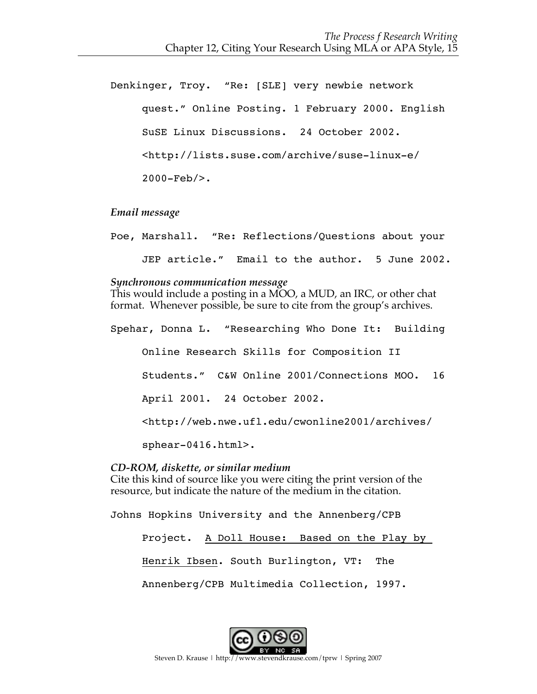Denkinger, Troy. "Re: [SLE] very newbie network quest." Online Posting. 1 February 2000. English SuSE Linux Discussions. 24 October 2002. <http://lists.suse.com/archive/suse-linux-e/ 2000-Feb/>.

*Email message*

Poe, Marshall. "Re: Reflections/Questions about your JEP article." Email to the author. 5 June 2002.

#### *Synchronous communication message*

This would include a posting in a MOO, a MUD, an IRC, or other chat format. Whenever possible, be sure to cite from the group's archives.

Spehar, Donna L. "Researching Who Done It: Building Online Research Skills for Composition II Students." C&W Online 2001/Connections MOO. 16 April 2001. 24 October 2002. <http://web.nwe.ufl.edu/cwonline2001/archives/ sphear-0416.html>.

# *CD-ROM, diskette, or similar medium*

Cite this kind of source like you were citing the print version of the resource, but indicate the nature of the medium in the citation.

Johns Hopkins University and the Annenberg/CPB

Project. A Doll House: Based on the Play by Henrik Ibsen. South Burlington, VT: The Annenberg/CPB Multimedia Collection, 1997.

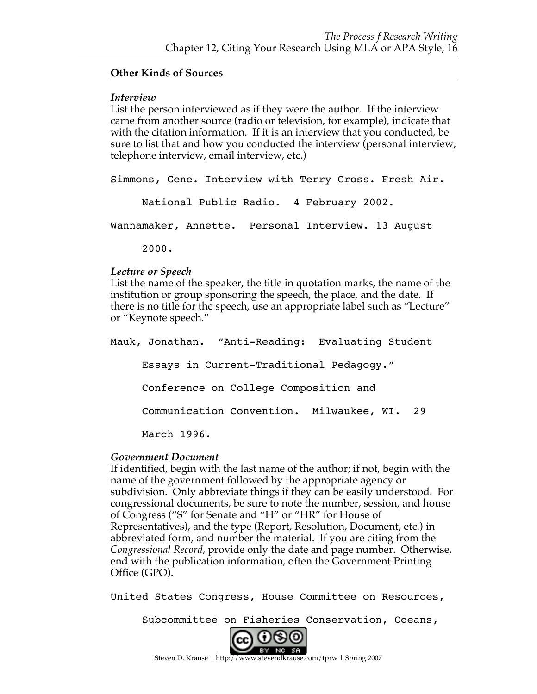#### **Other Kinds of Sources**

#### *Interview*

List the person interviewed as if they were the author. If the interview came from another source (radio or television, for example), indicate that with the citation information. If it is an interview that you conducted, be sure to list that and how you conducted the interview (personal interview, telephone interview, email interview, etc.)

Simmons, Gene. Interview with Terry Gross. Fresh Air.

National Public Radio. 4 February 2002.

Wannamaker, Annette. Personal Interview. 13 August

2000.

#### *Lecture or Speech*

List the name of the speaker, the title in quotation marks, the name of the institution or group sponsoring the speech, the place, and the date. If there is no title for the speech, use an appropriate label such as "Lecture" or "Keynote speech."

Mauk, Jonathan. "Anti-Reading: Evaluating Student Essays in Current-Traditional Pedagogy." Conference on College Composition and Communication Convention. Milwaukee, WI. 29 March 1996.

# *Government Document*

If identified, begin with the last name of the author; if not, begin with the name of the government followed by the appropriate agency or subdivision. Only abbreviate things if they can be easily understood. For congressional documents, be sure to note the number, session, and house of Congress ("S" for Senate and "H" or "HR" for House of Representatives), and the type (Report, Resolution, Document, etc.) in abbreviated form, and number the material. If you are citing from the *Congressional Record,* provide only the date and page number. Otherwise, end with the publication information, often the Government Printing Office (GPO).

United States Congress, House Committee on Resources,

Subcommittee on Fisheries Conservation, Oceans,

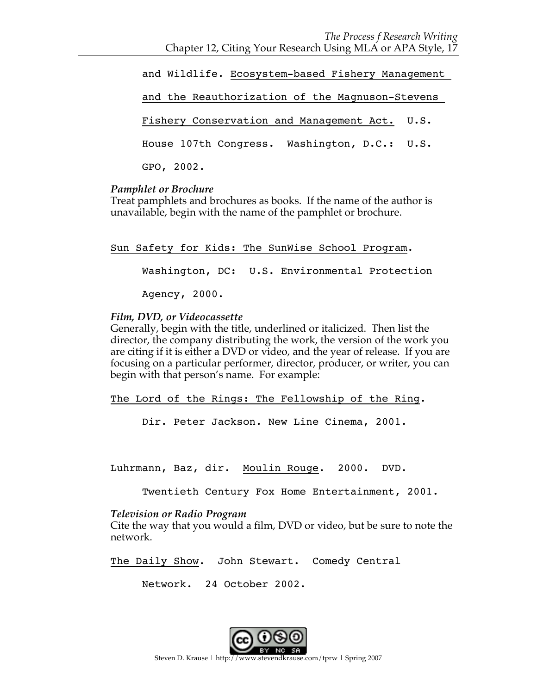and Wildlife. Ecosystem-based Fishery Management and the Reauthorization of the Magnuson-Stevens Fishery Conservation and Management Act. U.S. House 107th Congress. Washington, D.C.: U.S. GPO, 2002.

#### *Pamphlet or Brochure*

Treat pamphlets and brochures as books. If the name of the author is unavailable, begin with the name of the pamphlet or brochure.

Sun Safety for Kids: The SunWise School Program.

Washington, DC: U.S. Environmental Protection

Agency, 2000.

# *Film, DVD, or Videocassette*

Generally, begin with the title, underlined or italicized. Then list the director, the company distributing the work, the version of the work you are citing if it is either a DVD or video, and the year of release. If you are focusing on a particular performer, director, producer, or writer, you can begin with that person's name. For example:

The Lord of the Rings: The Fellowship of the Ring.

Dir. Peter Jackson. New Line Cinema, 2001.

Luhrmann, Baz, dir. Moulin Rouge. 2000. DVD.

Twentieth Century Fox Home Entertainment, 2001.

# *Television or Radio Program*

Cite the way that you would a film, DVD or video, but be sure to note the network.

The Daily Show. John Stewart. Comedy Central

Network. 24 October 2002.

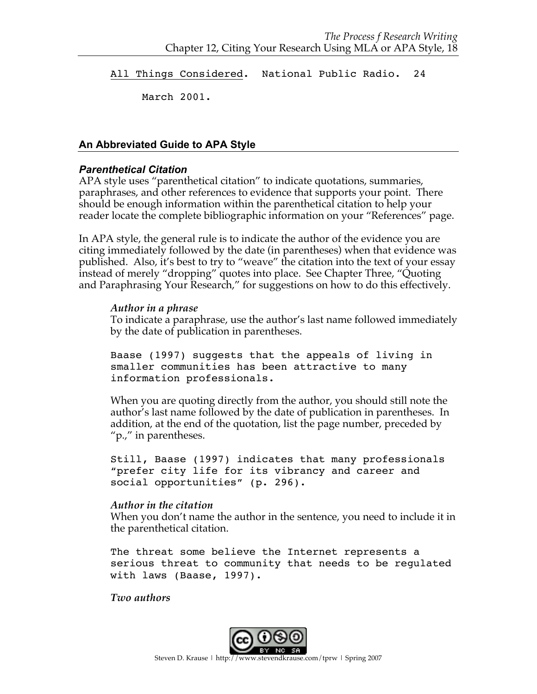All Things Considered. National Public Radio. 24

March 2001.

# **An Abbreviated Guide to APA Style**

# *Parenthetical Citation*

APA style uses "parenthetical citation" to indicate quotations, summaries, paraphrases, and other references to evidence that supports your point. There should be enough information within the parenthetical citation to help your reader locate the complete bibliographic information on your "References" page.

In APA style, the general rule is to indicate the author of the evidence you are citing immediately followed by the date (in parentheses) when that evidence was published. Also, it's best to try to "weave" the citation into the text of your essay instead of merely "dropping" quotes into place. See Chapter Three, "Quoting and Paraphrasing Your Research," for suggestions on how to do this effectively.

#### *Author in a phrase*

To indicate a paraphrase, use the author's last name followed immediately by the date of publication in parentheses.

Baase (1997) suggests that the appeals of living in smaller communities has been attractive to many information professionals.

When you are quoting directly from the author, you should still note the author's last name followed by the date of publication in parentheses. In addition, at the end of the quotation, list the page number, preceded by "p.," in parentheses.

Still, Baase (1997) indicates that many professionals "prefer city life for its vibrancy and career and social opportunities" (p. 296).

#### *Author in the citation*

When you don't name the author in the sentence, you need to include it in the parenthetical citation.

The threat some believe the Internet represents a serious threat to community that needs to be regulated with laws (Baase, 1997).

#### *Two authors*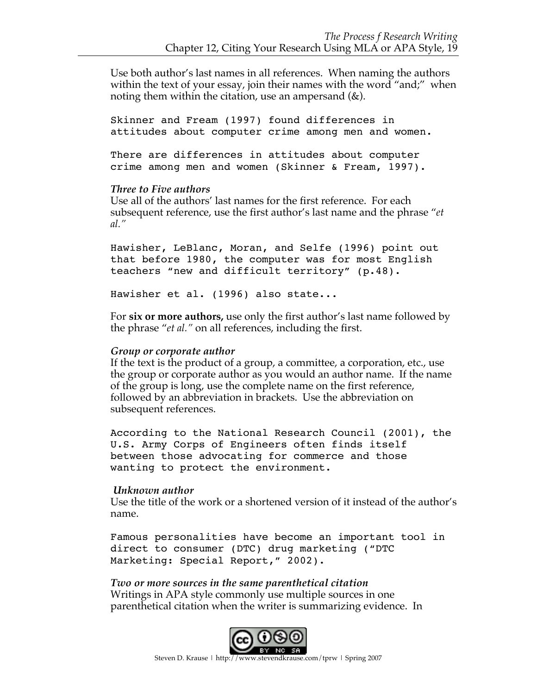Use both author's last names in all references. When naming the authors within the text of your essay, join their names with the word "and;" when noting them within the citation, use an ampersand  $(\&)$ .

Skinner and Fream (1997) found differences in attitudes about computer crime among men and women.

There are differences in attitudes about computer crime among men and women (Skinner & Fream, 1997).

#### *Three to Five authors*

Use all of the authors' last names for the first reference. For each subsequent reference, use the first author's last name and the phrase "*et al."*

Hawisher, LeBlanc, Moran, and Selfe (1996) point out that before 1980, the computer was for most English teachers "new and difficult territory" (p.48).

Hawisher et al. (1996) also state...

For **six or more authors,** use only the first author's last name followed by the phrase "*et al."* on all references, including the first.

#### *Group or corporate author*

If the text is the product of a group, a committee, a corporation, etc., use the group or corporate author as you would an author name. If the name of the group is long, use the complete name on the first reference, followed by an abbreviation in brackets. Use the abbreviation on subsequent references.

According to the National Research Council (2001), the U.S. Army Corps of Engineers often finds itself between those advocating for commerce and those wanting to protect the environment.

#### *Unknown author*

Use the title of the work or a shortened version of it instead of the author's name.

Famous personalities have become an important tool in direct to consumer (DTC) drug marketing ("DTC Marketing: Special Report," 2002).

*Two or more sources in the same parenthetical citation* Writings in APA style commonly use multiple sources in one parenthetical citation when the writer is summarizing evidence. In

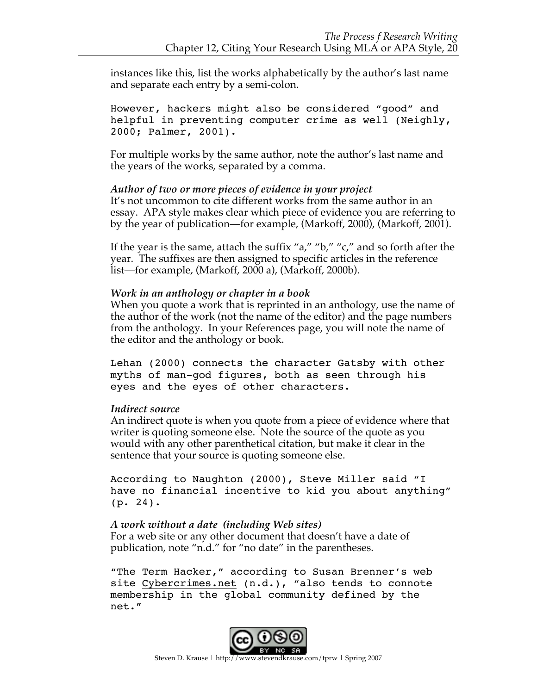instances like this, list the works alphabetically by the author's last name and separate each entry by a semi-colon.

However, hackers might also be considered "good" and helpful in preventing computer crime as well (Neighly, 2000; Palmer, 2001).

For multiple works by the same author, note the author's last name and the years of the works, separated by a comma.

#### *Author of two or more pieces of evidence in your project*

It's not uncommon to cite different works from the same author in an essay. APA style makes clear which piece of evidence you are referring to by the year of publication—for example, (Markoff, 2000), (Markoff, 2001).

If the year is the same, attach the suffix "a," "b," "c," and so forth after the year. The suffixes are then assigned to specific articles in the reference list—for example, (Markoff, 2000 a), (Markoff, 2000b).

#### *Work in an anthology or chapter in a book*

When you quote a work that is reprinted in an anthology, use the name of the author of the work (not the name of the editor) and the page numbers from the anthology. In your References page, you will note the name of the editor and the anthology or book.

Lehan (2000) connects the character Gatsby with other myths of man-god figures, both as seen through his eyes and the eyes of other characters.

#### *Indirect source*

An indirect quote is when you quote from a piece of evidence where that writer is quoting someone else. Note the source of the quote as you would with any other parenthetical citation, but make it clear in the sentence that your source is quoting someone else.

According to Naughton (2000), Steve Miller said "I have no financial incentive to kid you about anything" (p. 24).

#### *A work without a date (including Web sites)*

For a web site or any other document that doesn't have a date of publication, note "n.d." for "no date" in the parentheses.

"The Term Hacker," according to Susan Brenner's web site Cybercrimes.net (n.d.), "also tends to connote membership in the global community defined by the net."

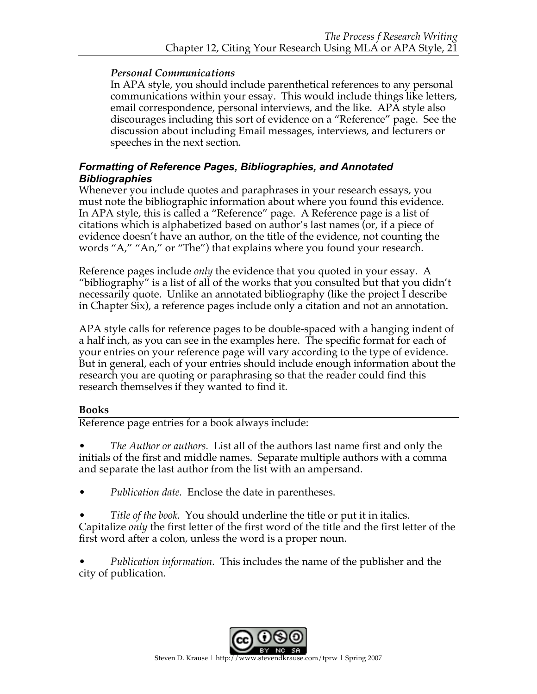# *Personal Communications*

In APA style, you should include parenthetical references to any personal communications within your essay. This would include things like letters, email correspondence, personal interviews, and the like. APA style also discourages including this sort of evidence on a "Reference" page. See the discussion about including Email messages, interviews, and lecturers or speeches in the next section.

# *Formatting of Reference Pages, Bibliographies, and Annotated Bibliographies*

Whenever you include quotes and paraphrases in your research essays, you must note the bibliographic information about where you found this evidence. In APA style, this is called a "Reference" page. A Reference page is a list of citations which is alphabetized based on author's last names (or, if a piece of evidence doesn't have an author, on the title of the evidence, not counting the words "A," "An," or "The") that explains where you found your research.

Reference pages include *only* the evidence that you quoted in your essay. A "bibliography" is a list of all of the works that you consulted but that you didn't necessarily quote. Unlike an annotated bibliography (like the project I describe in Chapter Six), a reference pages include only a citation and not an annotation.

APA style calls for reference pages to be double-spaced with a hanging indent of a half inch, as you can see in the examples here. The specific format for each of your entries on your reference page will vary according to the type of evidence. But in general, each of your entries should include enough information about the research you are quoting or paraphrasing so that the reader could find this research themselves if they wanted to find it.

# **Books**

Reference page entries for a book always include:

• *The Author or authors.* List all of the authors last name first and only the initials of the first and middle names. Separate multiple authors with a comma and separate the last author from the list with an ampersand.

- *Publication date.* Enclose the date in parentheses.
- *Title of the book.* You should underline the title or put it in italics. Capitalize *only* the first letter of the first word of the title and the first letter of the first word after a colon, unless the word is a proper noun.

• *Publication information.* This includes the name of the publisher and the city of publication.

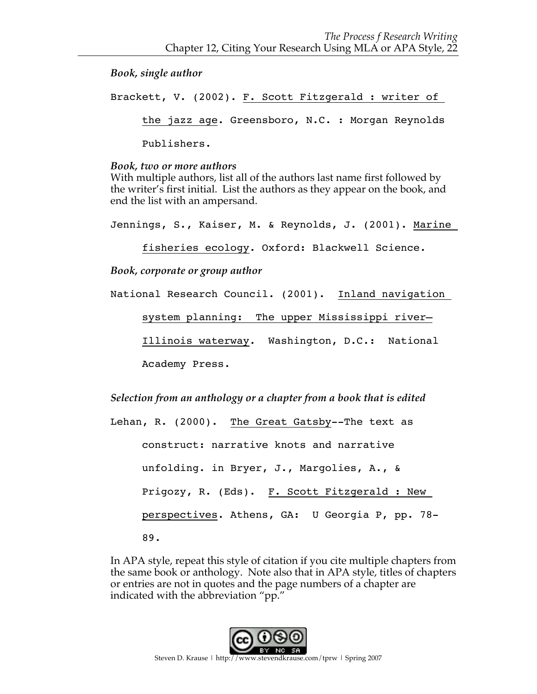*Book, single author*

Brackett, V. (2002). F. Scott Fitzgerald : writer of the jazz age. Greensboro, N.C. : Morgan Reynolds Publishers.

#### *Book, two or more authors*

With multiple authors, list all of the authors last name first followed by the writer's first initial. List the authors as they appear on the book, and end the list with an ampersand.

Jennings, S., Kaiser, M. & Reynolds, J. (2001). Marine

fisheries ecology. Oxford: Blackwell Science.

*Book, corporate or group author*

National Research Council. (2001). Inland navigation system planning: The upper Mississippi river— Illinois waterway. Washington, D.C.: National Academy Press.

*Selection from an anthology or a chapter from a book that is edited*

Lehan, R. (2000). The Great Gatsby--The text as construct: narrative knots and narrative unfolding. in Bryer, J., Margolies, A., & Prigozy, R. (Eds). F. Scott Fitzgerald : New perspectives. Athens, GA: U Georgia P, pp. 78- 89.

In APA style, repeat this style of citation if you cite multiple chapters from the same book or anthology. Note also that in APA style, titles of chapters or entries are not in quotes and the page numbers of a chapter are indicated with the abbreviation "pp."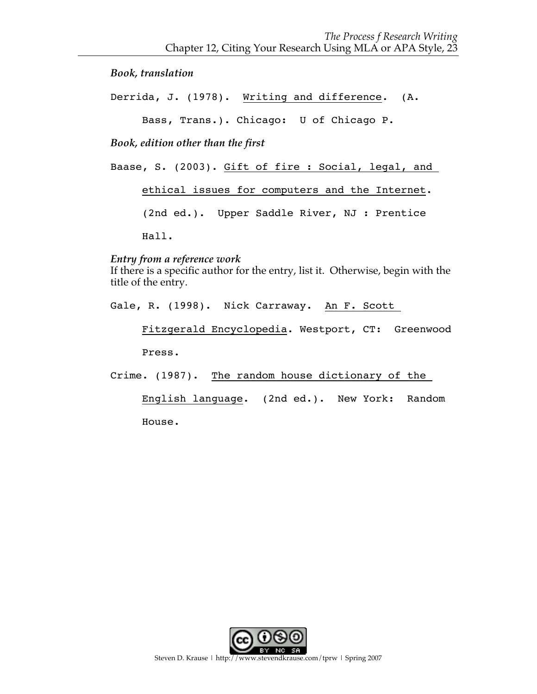*Book, translation*

Derrida, J. (1978). Writing and difference. (A.

Bass, Trans.). Chicago: U of Chicago P.

*Book, edition other than the first*

Baase, S. (2003). Gift of fire : Social, legal, and

ethical issues for computers and the Internet.

(2nd ed.). Upper Saddle River, NJ : Prentice

Hall.

#### *Entry from a reference work*

If there is a specific author for the entry, list it. Otherwise, begin with the title of the entry.

Gale, R. (1998). Nick Carraway. An F. Scott

Fitzgerald Encyclopedia. Westport, CT: Greenwood

Press.

Crime. (1987). The random house dictionary of the

English language. (2nd ed.). New York: Random House.

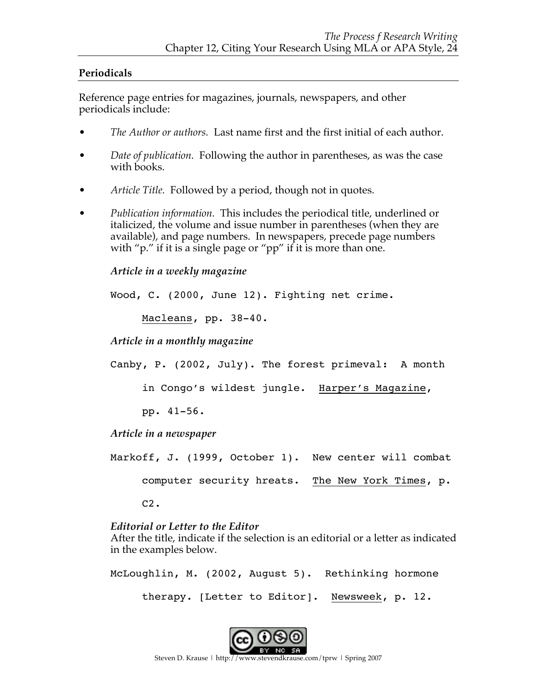# **Periodicals**

Reference page entries for magazines, journals, newspapers, and other periodicals include:

- *The Author or authors.* Last name first and the first initial of each author.
- *Date of publication.* Following the author in parentheses, as was the case with books.
- *Article Title.* Followed by a period, though not in quotes.
- *Publication information.* This includes the periodical title, underlined or italicized, the volume and issue number in parentheses (when they are available), and page numbers. In newspapers, precede page numbers with "p." if it is a single page or "pp" if it is more than one.

# *Article in a weekly magazine*

Wood, C. (2000, June 12). Fighting net crime.

Macleans, pp. 38-40.

*Article in a monthly magazine*

Canby, P. (2002, July). The forest primeval: A month

in Congo's wildest jungle. Harper's Magazine,

pp. 41-56.

*Article in a newspaper*

Markoff, J. (1999, October 1). New center will combat computer security hreats. The New York Times, p. C2.

# *Editorial or Letter to the Editor*

After the title, indicate if the selection is an editorial or a letter as indicated in the examples below.

McLoughlin, M. (2002, August 5). Rethinking hormone therapy. [Letter to Editor]. Newsweek, p. 12.

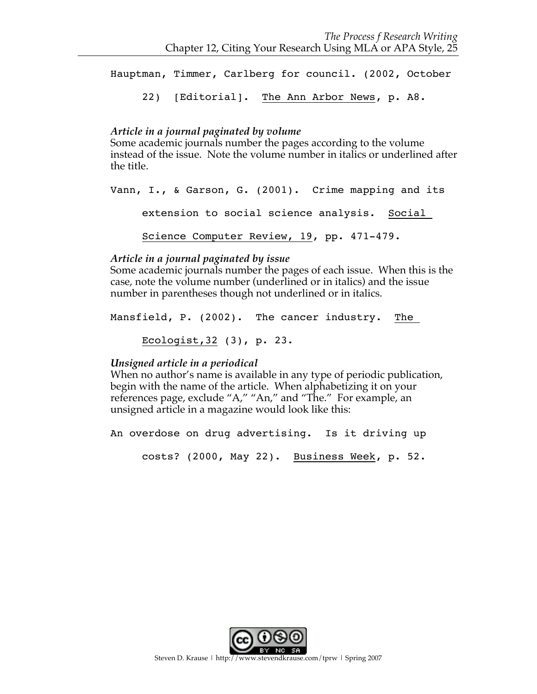Hauptman, Timmer, Carlberg for council. (2002, October 22) [Editorial]. The Ann Arbor News, p. A8.

# *Article in a journal paginated by volume*

Some academic journals number the pages according to the volume instead of the issue. Note the volume number in italics or underlined after the title.

Vann, I., & Garson, G. (2001). Crime mapping and its extension to social science analysis. Social Science Computer Review, 19, pp. 471-479.

#### *Article in a journal paginated by issue*

Some academic journals number the pages of each issue. When this is the case, note the volume number (underlined or in italics) and the issue number in parentheses though not underlined or in italics.

Mansfield, P. (2002). The cancer industry. The Ecologist,32 (3), p. 23.

# *Unsigned article in a periodical*

When no author's name is available in any type of periodic publication, begin with the name of the article. When alphabetizing it on your references page, exclude "A," "An," and "The." For example, an unsigned article in a magazine would look like this:

An overdose on drug advertising. Is it driving up

costs? (2000, May 22). Business Week, p. 52.

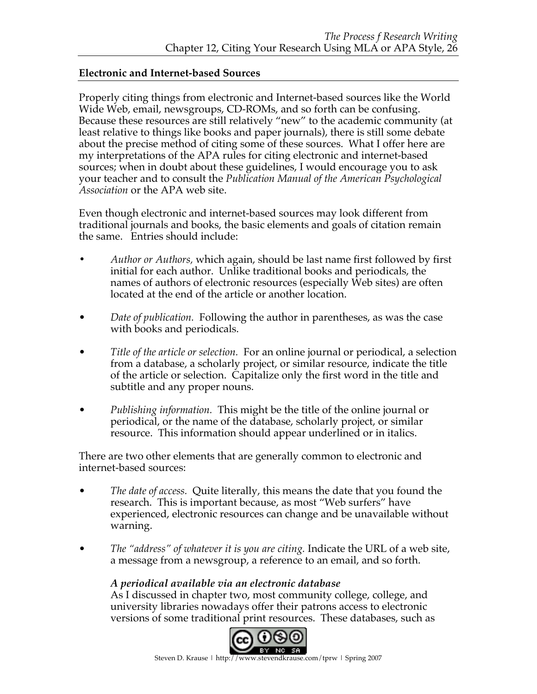# **Electronic and Internet-based Sources**

Properly citing things from electronic and Internet-based sources like the World Wide Web, email, newsgroups, CD-ROMs, and so forth can be confusing. Because these resources are still relatively "new" to the academic community (at least relative to things like books and paper journals), there is still some debate about the precise method of citing some of these sources. What I offer here are my interpretations of the APA rules for citing electronic and internet-based sources; when in doubt about these guidelines, I would encourage you to ask your teacher and to consult the *Publication Manual of the American Psychological Association* or the APA web site.

Even though electronic and internet-based sources may look different from traditional journals and books, the basic elements and goals of citation remain the same. Entries should include:

- **•** *Author or Authors,* which again, should be last name first followed by first initial for each author. Unlike traditional books and periodicals, the names of authors of electronic resources (especially Web sites) are often located at the end of the article or another location.
- *Date of publication.* Following the author in parentheses, as was the case with books and periodicals.
- *Title of the article or selection.* For an online journal or periodical, a selection from a database, a scholarly project, or similar resource, indicate the title of the article or selection. Capitalize only the first word in the title and subtitle and any proper nouns.
- *Publishing information.* This might be the title of the online journal or periodical, or the name of the database, scholarly project, or similar resource. This information should appear underlined or in italics.

There are two other elements that are generally common to electronic and internet-based sources:

- *The date of access.* Quite literally, this means the date that you found the research. This is important because, as most "Web surfers" have experienced, electronic resources can change and be unavailable without warning.
- *The "address" of whatever it is you are citing.* Indicate the URL of a web site, a message from a newsgroup, a reference to an email, and so forth.

# *A periodical available via an electronic database*

As I discussed in chapter two, most community college, college, and university libraries nowadays offer their patrons access to electronic versions of some traditional print resources. These databases, such as

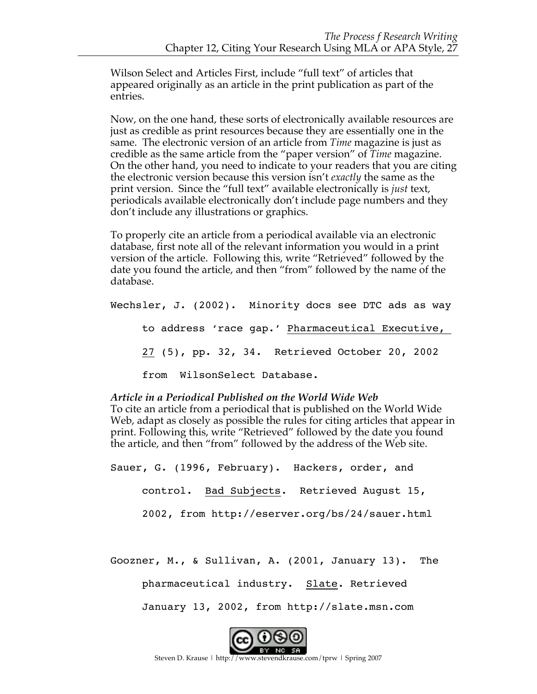Wilson Select and Articles First, include "full text" of articles that appeared originally as an article in the print publication as part of the entries.

Now, on the one hand, these sorts of electronically available resources are just as credible as print resources because they are essentially one in the same. The electronic version of an article from *Time* magazine is just as credible as the same article from the "paper version" of *Time* magazine. On the other hand, you need to indicate to your readers that you are citing the electronic version because this version isn't *exactly* the same as the print version. Since the "full text" available electronically is *just* text, periodicals available electronically don't include page numbers and they don't include any illustrations or graphics.

To properly cite an article from a periodical available via an electronic database, first note all of the relevant information you would in a print version of the article. Following this, write "Retrieved" followed by the date you found the article, and then "from" followed by the name of the database.

Wechsler, J. (2002). Minority docs see DTC ads as way to address 'race gap.' Pharmaceutical Executive, 27 (5), pp. 32, 34. Retrieved October 20, 2002 from WilsonSelect Database.

#### *Article in a Periodical Published on the World Wide Web*

To cite an article from a periodical that is published on the World Wide Web, adapt as closely as possible the rules for citing articles that appear in print. Following this, write "Retrieved" followed by the date you found the article, and then "from" followed by the address of the Web site.

Sauer, G. (1996, February). Hackers, order, and control. Bad Subjects. Retrieved August 15, 2002, from http://eserver.org/bs/24/sauer.html

Goozner, M., & Sullivan, A. (2001, January 13). The

pharmaceutical industry. Slate. Retrieved

January 13, 2002, from http://slate.msn.com



Steven D. Krause | http://www.stevendkrause.com/tprw | Spring 2007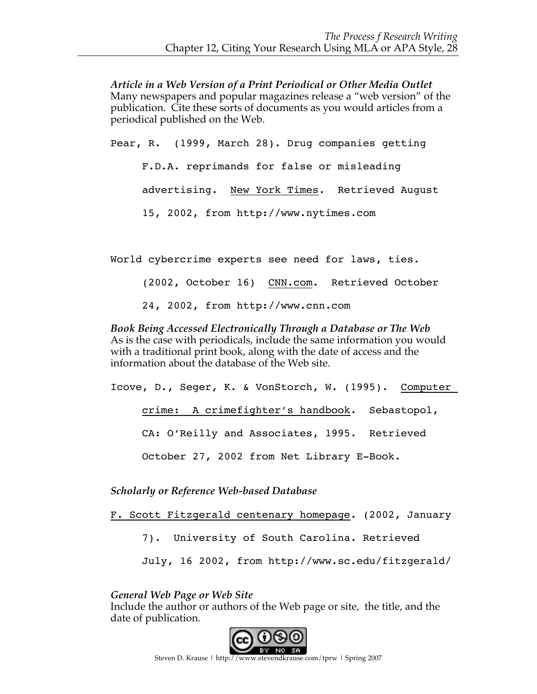*Article in a Web Version of a Print Periodical or Other Media Outlet* Many newspapers and popular magazines release a "web version" of the publication. Cite these sorts of documents as you would articles from a periodical published on the Web.

Pear, R. (1999, March 28). Drug companies getting F.D.A. reprimands for false or misleading advertising. New York Times. Retrieved August 15, 2002, from http://www.nytimes.com

World cybercrime experts see need for laws, ties.

(2002, October 16) CNN.com. Retrieved October 24, 2002, from http://www.cnn.com

*Book Being Accessed Electronically Through a Database or The Web* As is the case with periodicals, include the same information you would with a traditional print book, along with the date of access and the information about the database of the Web site.

Icove, D., Seger, K. & VonStorch, W. (1995). Computer crime: A crimefighter's handbook. Sebastopol, CA: O'Reilly and Associates, 1995. Retrieved October 27, 2002 from Net Library E-Book.

*Scholarly or Reference Web-based Database*

F. Scott Fitzgerald centenary homepage. (2002, January

7). University of South Carolina. Retrieved

July, 16 2002, from http://www.sc.edu/fitzgerald/

*General Web Page or Web Site*

Include the author or authors of the Web page or site, the title, and the date of publication.

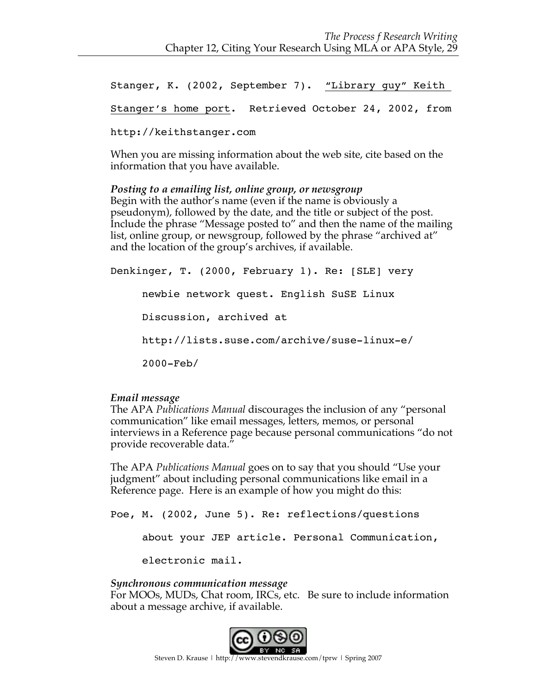Stanger, K. (2002, September 7). "Library guy" Keith

Stanger's home port. Retrieved October 24, 2002, from

http://keithstanger.com

When you are missing information about the web site, cite based on the information that you have available.

*Posting to a emailing list, online group, or newsgroup* Begin with the author's name (even if the name is obviously a pseudonym), followed by the date, and the title or subject of the post. Include the phrase "Message posted to" and then the name of the mailing list, online group, or newsgroup, followed by the phrase "archived at" and the location of the group's archives, if available.

Denkinger, T. (2000, February 1). Re: [SLE] very newbie network quest. English SuSE Linux Discussion, archived at http://lists.suse.com/archive/suse-linux-e/ 2000-Feb/

# *Email message*

The APA *Publications Manual* discourages the inclusion of any "personal communication" like email messages, letters, memos, or personal interviews in a Reference page because personal communications "do not provide recoverable data."

The APA *Publications Manual* goes on to say that you should "Use your judgment" about including personal communications like email in a Reference page. Here is an example of how you might do this:

Poe, M. (2002, June 5). Re: reflections/questions about your JEP article. Personal Communication, electronic mail.

# *Synchronous communication message*

For MOOs, MUDs, Chat room, IRCs, etc. Be sure to include information about a message archive, if available.

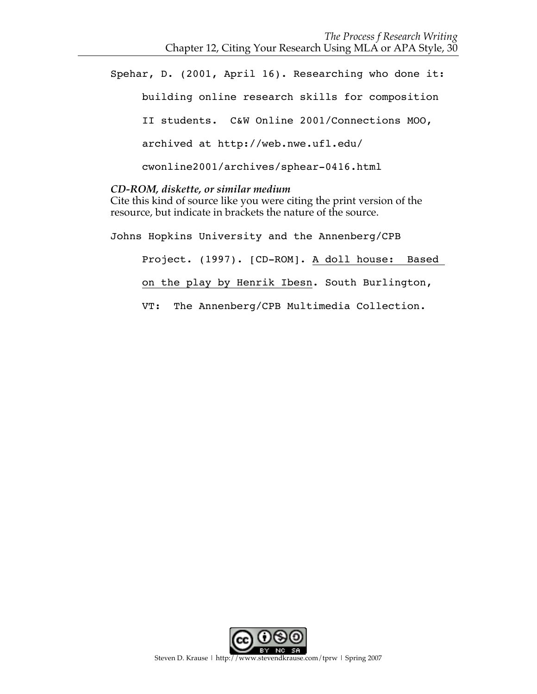Spehar, D. (2001, April 16). Researching who done it: building online research skills for composition II students. C&W Online 2001/Connections MOO, archived at http://web.nwe.ufl.edu/ cwonline2001/archives/sphear-0416.html

#### *CD-ROM, diskette, or similar medium*

Cite this kind of source like you were citing the print version of the resource, but indicate in brackets the nature of the source.

Johns Hopkins University and the Annenberg/CPB Project. (1997). [CD-ROM]. A doll house: Based on the play by Henrik Ibesn. South Burlington, VT: The Annenberg/CPB Multimedia Collection.

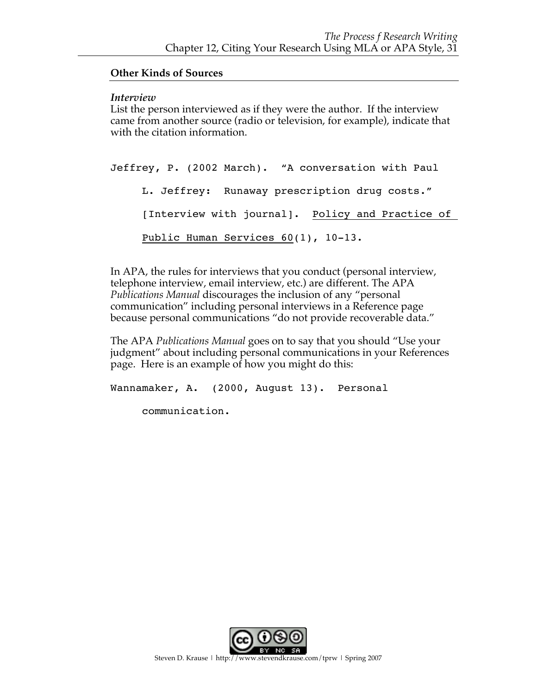#### **Other Kinds of Sources**

#### *Interview*

List the person interviewed as if they were the author. If the interview came from another source (radio or television, for example), indicate that with the citation information.

Jeffrey, P. (2002 March). "A conversation with Paul L. Jeffrey: Runaway prescription drug costs." [Interview with journal]. Policy and Practice of Public Human Services 60(1), 10-13.

In APA, the rules for interviews that you conduct (personal interview, telephone interview, email interview, etc.) are different. The APA *Publications Manual* discourages the inclusion of any "personal communication" including personal interviews in a Reference page because personal communications "do not provide recoverable data."

The APA *Publications Manual* goes on to say that you should "Use your judgment" about including personal communications in your References page. Here is an example of how you might do this:

Wannamaker, A. (2000, August 13). Personal

communication.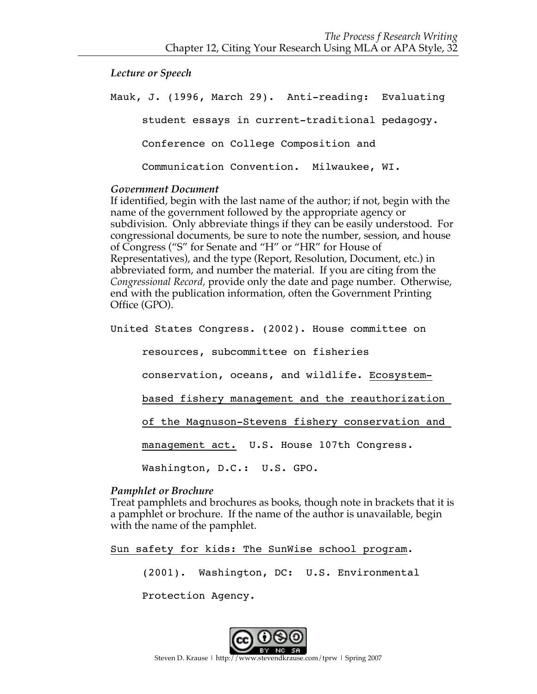*Lecture or Speech*

Mauk, J. (1996, March 29). Anti-reading: Evaluating student essays in current-traditional pedagogy. Conference on College Composition and Communication Convention. Milwaukee, WI.

#### *Government Document*

If identified, begin with the last name of the author; if not, begin with the name of the government followed by the appropriate agency or subdivision. Only abbreviate things if they can be easily understood. For congressional documents, be sure to note the number, session, and house of Congress ("S" for Senate and "H" or "HR" for House of Representatives), and the type (Report, Resolution, Document, etc.) in abbreviated form, and number the material. If you are citing from the *Congressional Record,* provide only the date and page number. Otherwise, end with the publication information, often the Government Printing Office (GPO).

United States Congress. (2002). House committee on

resources, subcommittee on fisheries

conservation, oceans, and wildlife. Ecosystem-

based fishery management and the reauthorization

of the Magnuson-Stevens fishery conservation and

management act. U.S. House 107th Congress.

Washington, D.C.: U.S. GPO.

#### *Pamphlet or Brochure*

Treat pamphlets and brochures as books, though note in brackets that it is a pamphlet or brochure. If the name of the author is unavailable, begin with the name of the pamphlet.

Sun safety for kids: The SunWise school program.

(2001). Washington, DC: U.S. Environmental

Protection Agency.